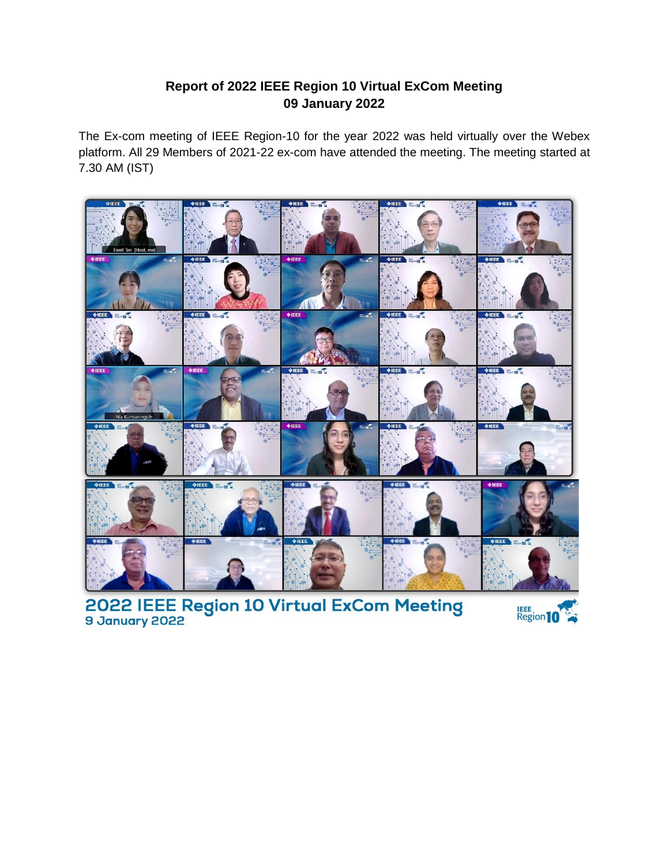# **Report of 2022 IEEE Region 10 Virtual ExCom Meeting 09 January 2022**

The Ex-com meeting of IEEE Region-10 for the year 2022 was held virtually over the Webex platform. All 29 Members of 2021-22 ex-com have attended the meeting. The meeting started at 7.30 AM (IST)



2022 IEEE Region 10 Virtual ExCom Meeting

Region 10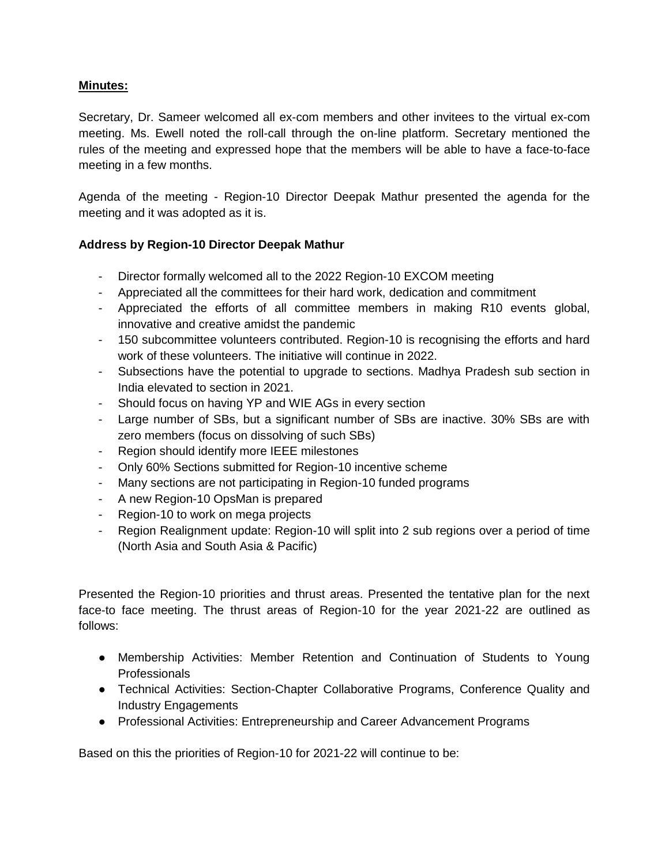### **Minutes:**

Secretary, Dr. Sameer welcomed all ex-com members and other invitees to the virtual ex-com meeting. Ms. Ewell noted the roll-call through the on-line platform. Secretary mentioned the rules of the meeting and expressed hope that the members will be able to have a face-to-face meeting in a few months.

Agenda of the meeting - Region-10 Director Deepak Mathur presented the agenda for the meeting and it was adopted as it is.

#### **Address by Region-10 Director Deepak Mathur**

- Director formally welcomed all to the 2022 Region-10 EXCOM meeting
- Appreciated all the committees for their hard work, dedication and commitment
- Appreciated the efforts of all committee members in making R10 events global, innovative and creative amidst the pandemic
- 150 subcommittee volunteers contributed. Region-10 is recognising the efforts and hard work of these volunteers. The initiative will continue in 2022.
- Subsections have the potential to upgrade to sections. Madhya Pradesh sub section in India elevated to section in 2021.
- Should focus on having YP and WIE AGs in every section
- Large number of SBs, but a significant number of SBs are inactive. 30% SBs are with zero members (focus on dissolving of such SBs)
- Region should identify more IEEE milestones
- Only 60% Sections submitted for Region-10 incentive scheme
- Many sections are not participating in Region-10 funded programs
- A new Region-10 OpsMan is prepared
- Region-10 to work on mega projects
- Region Realignment update: Region-10 will split into 2 sub regions over a period of time (North Asia and South Asia & Pacific)

Presented the Region-10 priorities and thrust areas. Presented the tentative plan for the next face-to face meeting. The thrust areas of Region-10 for the year 2021-22 are outlined as follows:

- Membership Activities: Member Retention and Continuation of Students to Young **Professionals**
- Technical Activities: Section-Chapter Collaborative Programs, Conference Quality and Industry Engagements
- Professional Activities: Entrepreneurship and Career Advancement Programs

Based on this the priorities of Region-10 for 2021-22 will continue to be: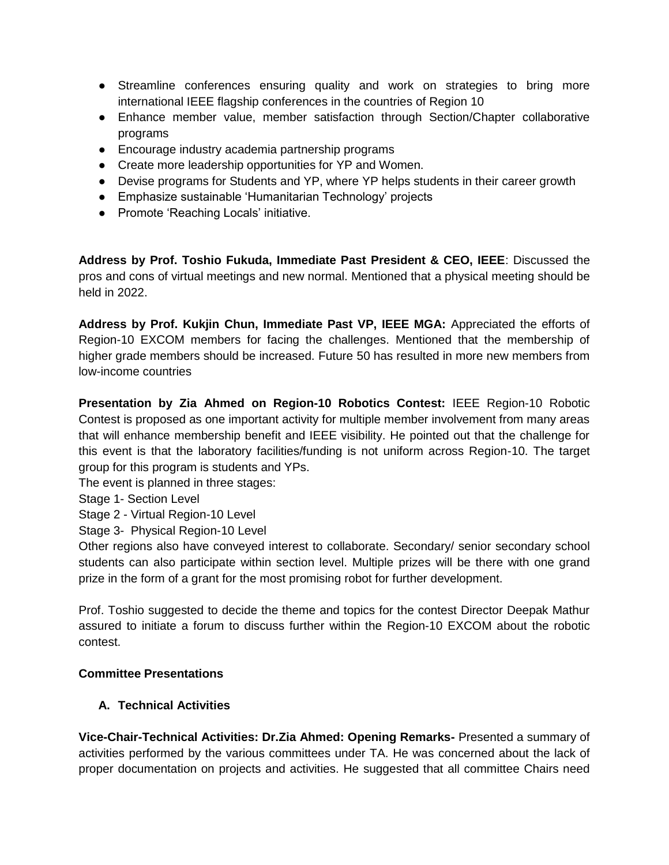- Streamline conferences ensuring quality and work on strategies to bring more international IEEE flagship conferences in the countries of Region 10
- Enhance member value, member satisfaction through Section/Chapter collaborative programs
- Encourage industry academia partnership programs
- Create more leadership opportunities for YP and Women.
- Devise programs for Students and YP, where YP helps students in their career growth
- Emphasize sustainable 'Humanitarian Technology' projects
- Promote 'Reaching Locals' initiative.

**Address by Prof. Toshio Fukuda, Immediate Past President & CEO, IEEE**: Discussed the pros and cons of virtual meetings and new normal. Mentioned that a physical meeting should be held in 2022.

**Address by Prof. Kukjin Chun, Immediate Past VP, IEEE MGA:** Appreciated the efforts of Region-10 EXCOM members for facing the challenges. Mentioned that the membership of higher grade members should be increased. Future 50 has resulted in more new members from low-income countries

**Presentation by Zia Ahmed on Region-10 Robotics Contest:** IEEE Region-10 Robotic Contest is proposed as one important activity for multiple member involvement from many areas that will enhance membership benefit and IEEE visibility. He pointed out that the challenge for this event is that the laboratory facilities/funding is not uniform across Region-10. The target group for this program is students and YPs.

The event is planned in three stages:

Stage 1- Section Level

Stage 2 - Virtual Region-10 Level

Stage 3- Physical Region-10 Level

Other regions also have conveyed interest to collaborate. Secondary/ senior secondary school students can also participate within section level. Multiple prizes will be there with one grand prize in the form of a grant for the most promising robot for further development.

Prof. Toshio suggested to decide the theme and topics for the contest Director Deepak Mathur assured to initiate a forum to discuss further within the Region-10 EXCOM about the robotic contest.

### **Committee Presentations**

### **A. Technical Activities**

**Vice-Chair-Technical Activities: Dr.Zia Ahmed: Opening Remarks-** Presented a summary of activities performed by the various committees under TA. He was concerned about the lack of proper documentation on projects and activities. He suggested that all committee Chairs need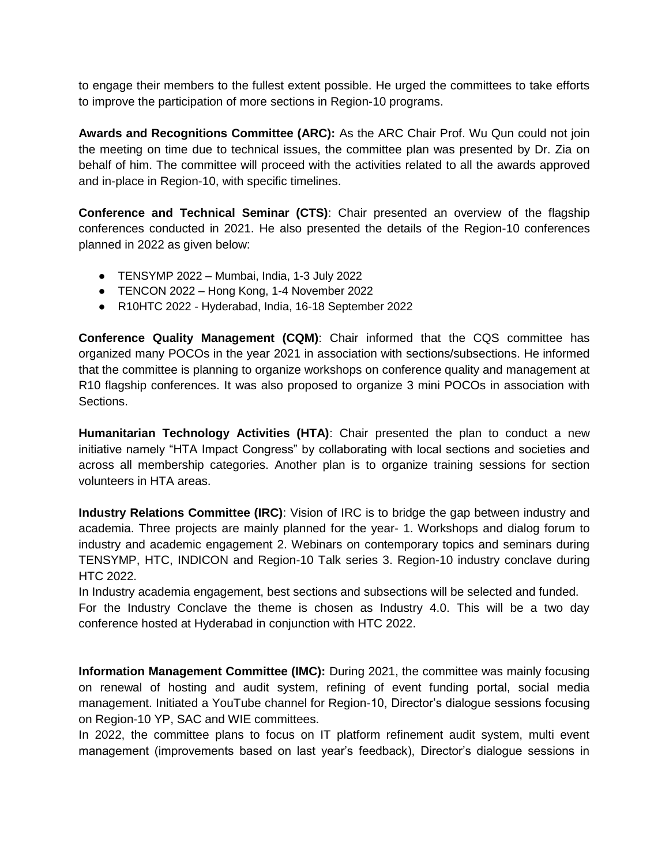to engage their members to the fullest extent possible. He urged the committees to take efforts to improve the participation of more sections in Region-10 programs.

**Awards and Recognitions Committee (ARC):** As the ARC Chair Prof. Wu Qun could not join the meeting on time due to technical issues, the committee plan was presented by Dr. Zia on behalf of him. The committee will proceed with the activities related to all the awards approved and in-place in Region-10, with specific timelines.

**Conference and Technical Seminar (CTS)**: Chair presented an overview of the flagship conferences conducted in 2021. He also presented the details of the Region-10 conferences planned in 2022 as given below:

- $\bullet$  TENSYMP 2022 Mumbai, India, 1-3 July 2022
- TENCON 2022 Hong Kong, 1-4 November 2022
- R10HTC 2022 Hyderabad, India, 16-18 September 2022

**Conference Quality Management (CQM)**: Chair informed that the CQS committee has organized many POCOs in the year 2021 in association with sections/subsections. He informed that the committee is planning to organize workshops on conference quality and management at R10 flagship conferences. It was also proposed to organize 3 mini POCOs in association with Sections.

**Humanitarian Technology Activities (HTA)**: Chair presented the plan to conduct a new initiative namely "HTA Impact Congress" by collaborating with local sections and societies and across all membership categories. Another plan is to organize training sessions for section volunteers in HTA areas.

**Industry Relations Committee (IRC)**: Vision of IRC is to bridge the gap between industry and academia. Three projects are mainly planned for the year- 1. Workshops and dialog forum to industry and academic engagement 2. Webinars on contemporary topics and seminars during TENSYMP, HTC, INDICON and Region-10 Talk series 3. Region-10 industry conclave during HTC 2022.

In Industry academia engagement, best sections and subsections will be selected and funded. For the Industry Conclave the theme is chosen as Industry 4.0. This will be a two day conference hosted at Hyderabad in conjunction with HTC 2022.

**Information Management Committee (IMC):** During 2021, the committee was mainly focusing on renewal of hosting and audit system, refining of event funding portal, social media management. Initiated a YouTube channel for Region-10, Director's dialogue sessions focusing on Region-10 YP, SAC and WIE committees.

In 2022, the committee plans to focus on IT platform refinement audit system, multi event management (improvements based on last year's feedback), Director's dialogue sessions in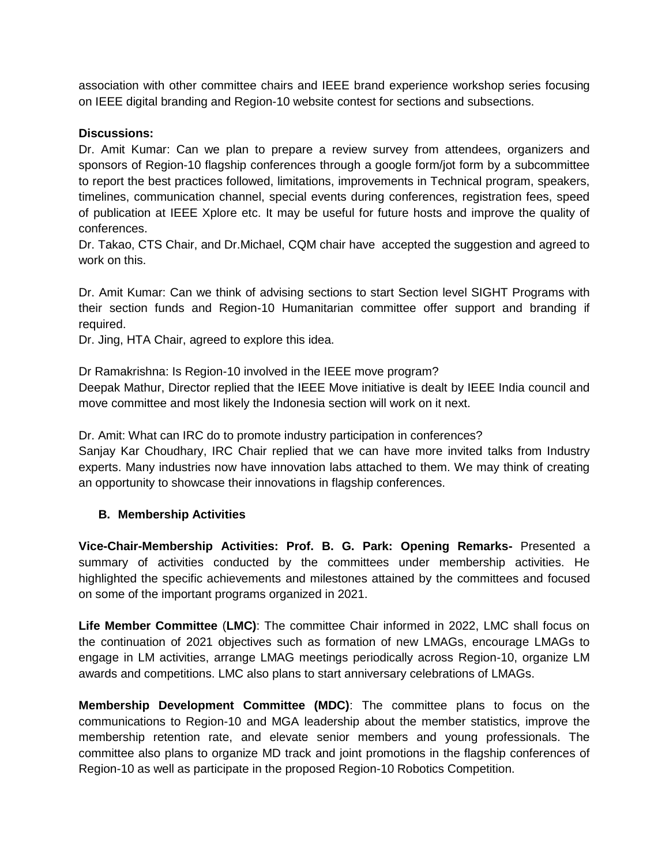association with other committee chairs and IEEE brand experience workshop series focusing on IEEE digital branding and Region-10 website contest for sections and subsections.

#### **Discussions:**

Dr. Amit Kumar: Can we plan to prepare a review survey from attendees, organizers and sponsors of Region-10 flagship conferences through a google form/jot form by a subcommittee to report the best practices followed, limitations, improvements in Technical program, speakers, timelines, communication channel, special events during conferences, registration fees, speed of publication at IEEE Xplore etc. It may be useful for future hosts and improve the quality of conferences.

Dr. Takao, CTS Chair, and Dr.Michael, CQM chair have accepted the suggestion and agreed to work on this.

Dr. Amit Kumar: Can we think of advising sections to start Section level SIGHT Programs with their section funds and Region-10 Humanitarian committee offer support and branding if required.

Dr. Jing, HTA Chair, agreed to explore this idea.

Dr Ramakrishna: Is Region-10 involved in the IEEE move program?

Deepak Mathur, Director replied that the IEEE Move initiative is dealt by IEEE India council and move committee and most likely the Indonesia section will work on it next.

Dr. Amit: What can IRC do to promote industry participation in conferences?

Sanjay Kar Choudhary, IRC Chair replied that we can have more invited talks from Industry experts. Many industries now have innovation labs attached to them. We may think of creating an opportunity to showcase their innovations in flagship conferences.

#### **B. Membership Activities**

**Vice-Chair-Membership Activities: Prof. B. G. Park: Opening Remarks-** Presented a summary of activities conducted by the committees under membership activities. He highlighted the specific achievements and milestones attained by the committees and focused on some of the important programs organized in 2021.

**Life Member Committee** (**LMC)**: The committee Chair informed in 2022, LMC shall focus on the continuation of 2021 objectives such as formation of new LMAGs, encourage LMAGs to engage in LM activities, arrange LMAG meetings periodically across Region-10, organize LM awards and competitions. LMC also plans to start anniversary celebrations of LMAGs.

**Membership Development Committee (MDC)**: The committee plans to focus on the communications to Region-10 and MGA leadership about the member statistics, improve the membership retention rate, and elevate senior members and young professionals. The committee also plans to organize MD track and joint promotions in the flagship conferences of Region-10 as well as participate in the proposed Region-10 Robotics Competition.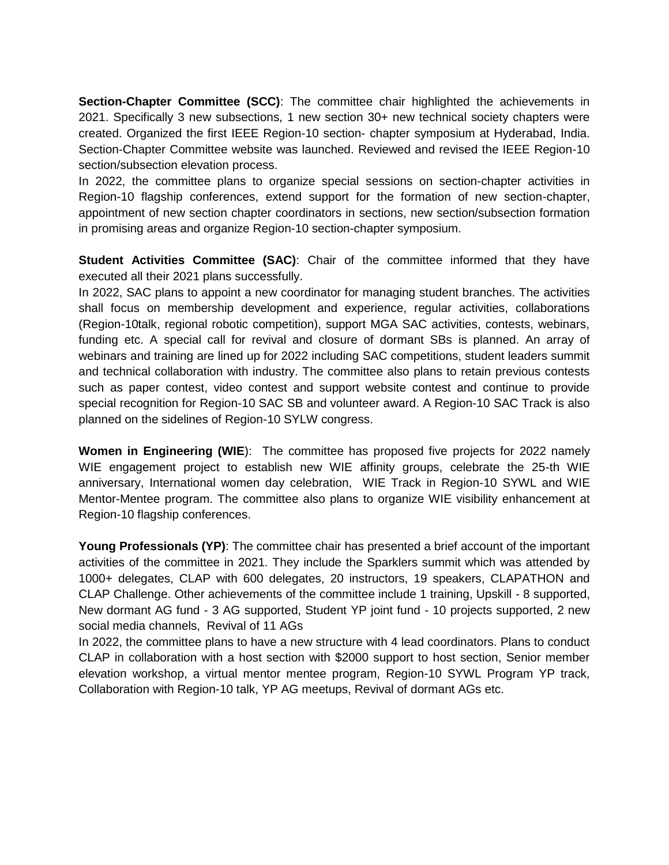**Section-Chapter Committee (SCC)**: The committee chair highlighted the achievements in 2021. Specifically 3 new subsections, 1 new section 30+ new technical society chapters were created. Organized the first IEEE Region-10 section- chapter symposium at Hyderabad, India. Section-Chapter Committee website was launched. Reviewed and revised the IEEE Region-10 section/subsection elevation process.

In 2022, the committee plans to organize special sessions on section-chapter activities in Region-10 flagship conferences, extend support for the formation of new section-chapter, appointment of new section chapter coordinators in sections, new section/subsection formation in promising areas and organize Region-10 section-chapter symposium.

**Student Activities Committee (SAC)**: Chair of the committee informed that they have executed all their 2021 plans successfully.

In 2022, SAC plans to appoint a new coordinator for managing student branches. The activities shall focus on membership development and experience, regular activities, collaborations (Region-10talk, regional robotic competition), support MGA SAC activities, contests, webinars, funding etc. A special call for revival and closure of dormant SBs is planned. An array of webinars and training are lined up for 2022 including SAC competitions, student leaders summit and technical collaboration with industry. The committee also plans to retain previous contests such as paper contest, video contest and support website contest and continue to provide special recognition for Region-10 SAC SB and volunteer award. A Region-10 SAC Track is also planned on the sidelines of Region-10 SYLW congress.

**Women in Engineering (WIE**): The committee has proposed five projects for 2022 namely WIE engagement project to establish new WIE affinity groups, celebrate the 25-th WIE anniversary, International women day celebration, WIE Track in Region-10 SYWL and WIE Mentor-Mentee program. The committee also plans to organize WIE visibility enhancement at Region-10 flagship conferences.

Young Professionals (YP): The committee chair has presented a brief account of the important activities of the committee in 2021. They include the Sparklers summit which was attended by 1000+ delegates, CLAP with 600 delegates, 20 instructors, 19 speakers, CLAPATHON and CLAP Challenge. Other achievements of the committee include 1 training, Upskill - 8 supported, New dormant AG fund - 3 AG supported, Student YP joint fund - 10 projects supported, 2 new social media channels, Revival of 11 AGs

In 2022, the committee plans to have a new structure with 4 lead coordinators. Plans to conduct CLAP in collaboration with a host section with \$2000 support to host section, Senior member elevation workshop, a virtual mentor mentee program, Region-10 SYWL Program YP track, Collaboration with Region-10 talk, YP AG meetups, Revival of dormant AGs etc.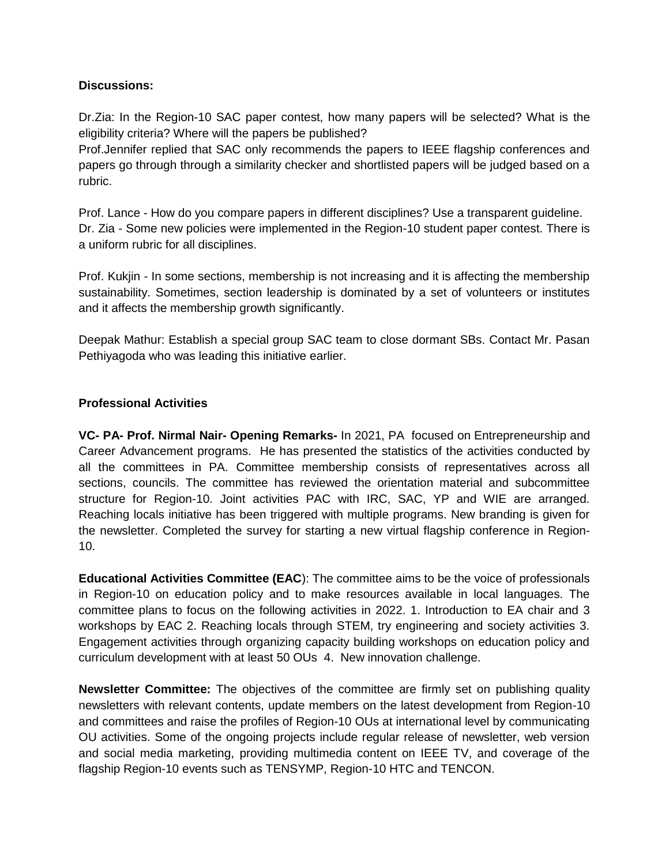#### **Discussions:**

Dr.Zia: In the Region-10 SAC paper contest, how many papers will be selected? What is the eligibility criteria? Where will the papers be published?

Prof.Jennifer replied that SAC only recommends the papers to IEEE flagship conferences and papers go through through a similarity checker and shortlisted papers will be judged based on a rubric.

Prof. Lance - How do you compare papers in different disciplines? Use a transparent guideline. Dr. Zia - Some new policies were implemented in the Region-10 student paper contest. There is a uniform rubric for all disciplines.

Prof. Kukjin - In some sections, membership is not increasing and it is affecting the membership sustainability. Sometimes, section leadership is dominated by a set of volunteers or institutes and it affects the membership growth significantly.

Deepak Mathur: Establish a special group SAC team to close dormant SBs. Contact Mr. Pasan Pethiyagoda who was leading this initiative earlier.

#### **Professional Activities**

**VC- PA- Prof. Nirmal Nair- Opening Remarks-** In 2021, PA focused on Entrepreneurship and Career Advancement programs. He has presented the statistics of the activities conducted by all the committees in PA. Committee membership consists of representatives across all sections, councils. The committee has reviewed the orientation material and subcommittee structure for Region-10. Joint activities PAC with IRC, SAC, YP and WIE are arranged. Reaching locals initiative has been triggered with multiple programs. New branding is given for the newsletter. Completed the survey for starting a new virtual flagship conference in Region-10.

**Educational Activities Committee (EAC**): The committee aims to be the voice of professionals in Region-10 on education policy and to make resources available in local languages. The committee plans to focus on the following activities in 2022. 1. Introduction to EA chair and 3 workshops by EAC 2. Reaching locals through STEM, try engineering and society activities 3. Engagement activities through organizing capacity building workshops on education policy and curriculum development with at least 50 OUs 4. New innovation challenge.

**Newsletter Committee:** The objectives of the committee are firmly set on publishing quality newsletters with relevant contents, update members on the latest development from Region-10 and committees and raise the profiles of Region-10 OUs at international level by communicating OU activities. Some of the ongoing projects include regular release of newsletter, web version and social media marketing, providing multimedia content on IEEE TV, and coverage of the flagship Region-10 events such as TENSYMP, Region-10 HTC and TENCON.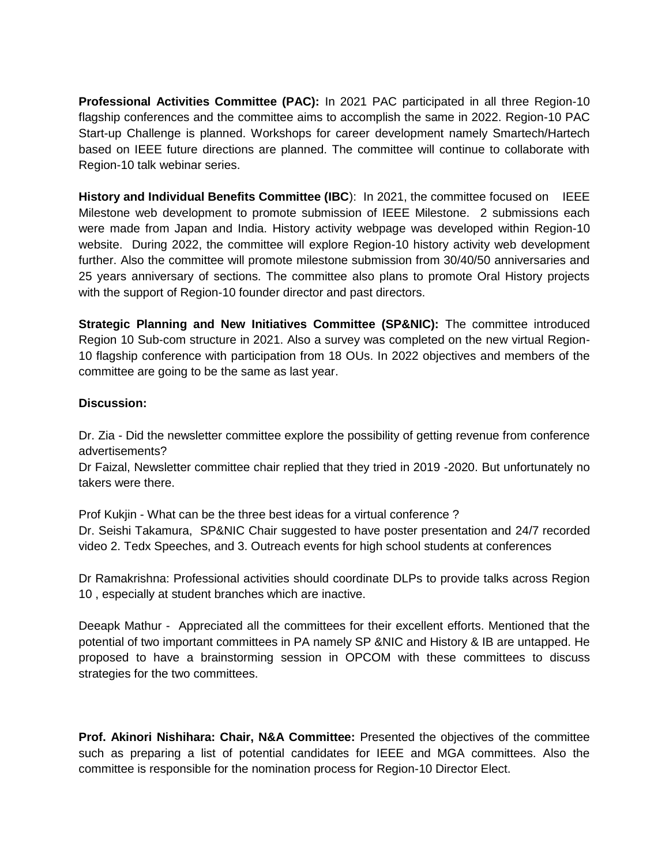**Professional Activities Committee (PAC):** In 2021 PAC participated in all three Region-10 flagship conferences and the committee aims to accomplish the same in 2022. Region-10 PAC Start-up Challenge is planned. Workshops for career development namely Smartech/Hartech based on IEEE future directions are planned. The committee will continue to collaborate with Region-10 talk webinar series.

**History and Individual Benefits Committee (IBC**): In 2021, the committee focused on IEEE Milestone web development to promote submission of IEEE Milestone. 2 submissions each were made from Japan and India. History activity webpage was developed within Region-10 website. During 2022, the committee will explore Region-10 history activity web development further. Also the committee will promote milestone submission from 30/40/50 anniversaries and 25 years anniversary of sections. The committee also plans to promote Oral History projects with the support of Region-10 founder director and past directors.

**Strategic Planning and New Initiatives Committee (SP&NIC):** The committee introduced Region 10 Sub-com structure in 2021. Also a survey was completed on the new virtual Region-10 flagship conference with participation from 18 OUs. In 2022 objectives and members of the committee are going to be the same as last year.

### **Discussion:**

Dr. Zia - Did the newsletter committee explore the possibility of getting revenue from conference advertisements?

Dr Faizal, Newsletter committee chair replied that they tried in 2019 -2020. But unfortunately no takers were there.

Prof Kukjin - What can be the three best ideas for a virtual conference ? Dr. Seishi Takamura, SP&NIC Chair suggested to have poster presentation and 24/7 recorded video 2. Tedx Speeches, and 3. Outreach events for high school students at conferences

Dr Ramakrishna: Professional activities should coordinate DLPs to provide talks across Region 10 , especially at student branches which are inactive.

Deeapk Mathur - Appreciated all the committees for their excellent efforts. Mentioned that the potential of two important committees in PA namely SP &NIC and History & IB are untapped. He proposed to have a brainstorming session in OPCOM with these committees to discuss strategies for the two committees.

**Prof. Akinori Nishihara: Chair, N&A Committee:** Presented the objectives of the committee such as preparing a list of potential candidates for IEEE and MGA committees. Also the committee is responsible for the nomination process for Region-10 Director Elect.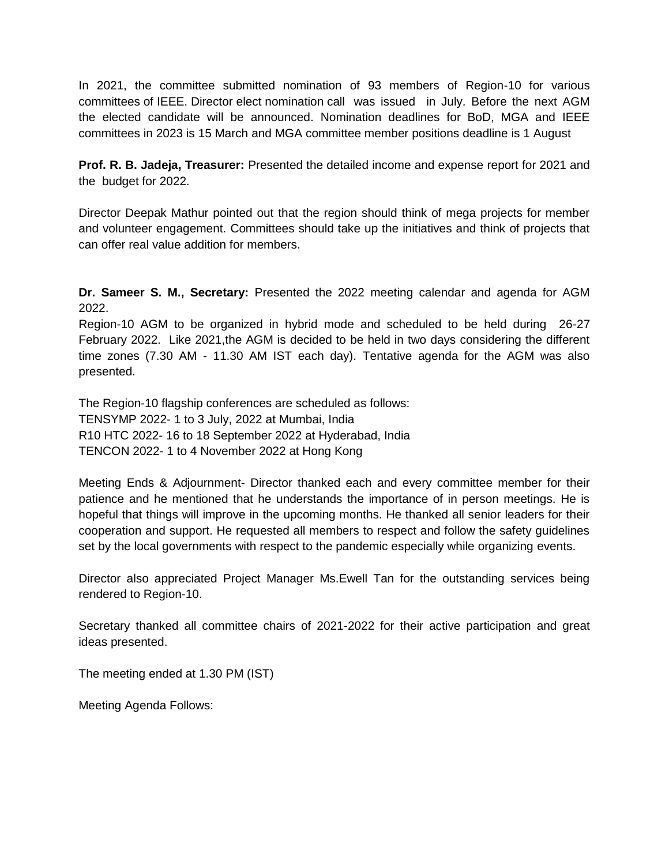In 2021, the committee submitted nomination of 93 members of Region-10 for various committees of IEEE. Director elect nomination call was issued in July. Before the next AGM the elected candidate will be announced. Nomination deadlines for BoD, MGA and IEEE committees in 2023 is 15 March and MGA committee member positions deadline is 1 August

**Prof. R. B. Jadeja, Treasurer:** Presented the detailed income and expense report for 2021 and the budget for 2022.

Director Deepak Mathur pointed out that the region should think of mega projects for member and volunteer engagement. Committees should take up the initiatives and think of projects that can offer real value addition for members.

**Dr. Sameer S. M., Secretary:** Presented the 2022 meeting calendar and agenda for AGM 2022.

Region-10 AGM to be organized in hybrid mode and scheduled to be held during 26-27 February 2022. Like 2021,the AGM is decided to be held in two days considering the different time zones (7.30 AM - 11.30 AM IST each day). Tentative agenda for the AGM was also presented.

The Region-10 flagship conferences are scheduled as follows: TENSYMP 2022- 1 to 3 July, 2022 at Mumbai, India R10 HTC 2022- 16 to 18 September 2022 at Hyderabad, India TENCON 2022- 1 to 4 November 2022 at Hong Kong

Meeting Ends & Adjournment- Director thanked each and every committee member for their patience and he mentioned that he understands the importance of in person meetings. He is hopeful that things will improve in the upcoming months. He thanked all senior leaders for their cooperation and support. He requested all members to respect and follow the safety guidelines set by the local governments with respect to the pandemic especially while organizing events.

Director also appreciated Project Manager Ms.Ewell Tan for the outstanding services being rendered to Region-10.

Secretary thanked all committee chairs of 2021-2022 for their active participation and great ideas presented.

The meeting ended at 1.30 PM (IST)

Meeting Agenda Follows: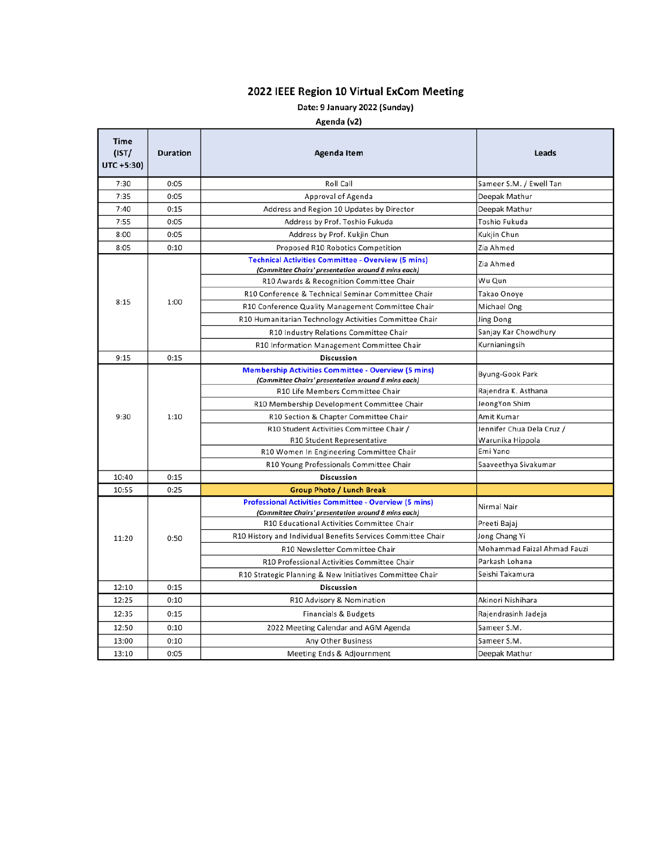## 2022 IEEE Region 10 Virtual ExCom Meeting

## Date: 9 January 2022 (Sunday)

#### Agenda (v2)

| <b>Time</b><br>(IST/<br>UTC +5:30) | <b>Duration</b><br>Agenda Item         |                                                                                                                     | Leads                       |  |
|------------------------------------|----------------------------------------|---------------------------------------------------------------------------------------------------------------------|-----------------------------|--|
| 7:30<br>0:05                       |                                        | Roll Call                                                                                                           | Sameer S.M. / Ewell Tan     |  |
| 7:35                               | 0:05                                   | Approval of Agenda                                                                                                  | Deepak Mathur               |  |
| 7:40<br>0:15                       |                                        | Address and Region 10 Updates by Director                                                                           | Deepak Mathur               |  |
| 7:55                               | 0:05<br>Address by Prof. Toshio Fukuda |                                                                                                                     | Toshio Fukuda               |  |
| 8:00                               | 0:05<br>Address by Prof. Kukjin Chun   |                                                                                                                     | Kukjin Chun                 |  |
| 8:05                               | 0:10                                   | Proposed R10 Robotics Competition                                                                                   | Zia Ahmed                   |  |
| 8:15<br>9:15                       | 1:00                                   | <b>Technical Activities Committee - Overview (5 mins)</b><br>(Committee Chairs' presentation around 8 mins each)    | Zia Ahmed                   |  |
|                                    |                                        | R10 Awards & Recognition Committee Chair                                                                            | Wu Qun                      |  |
|                                    |                                        | R10 Conference & Technical Seminar Committee Chair                                                                  | Takao Onoye                 |  |
|                                    |                                        | R10 Conference Quality Management Committee Chair                                                                   | Michael Ong                 |  |
|                                    |                                        | R10 Humanitarian Technology Activities Committee Chair                                                              | Jing Dong                   |  |
|                                    |                                        | R10 Industry Relations Committee Chair                                                                              | Sanjay Kar Chowdhury        |  |
|                                    |                                        | R10 Information Management Committee Chair                                                                          | Kurnianingsih               |  |
|                                    | 0:15                                   | <b>Discussion</b>                                                                                                   |                             |  |
|                                    |                                        | <b>Membership Activities Committee - Overview (5 mins)</b><br>(Committee Chairs' presentation around 8 mins each)   | Byung-Gook Park             |  |
|                                    |                                        | R10 Life Members Committee Chair                                                                                    | Rajendra K. Asthana         |  |
| 9:30                               | 1:10                                   | R10 Membership Development Committee Chair                                                                          | JeongYon Shim               |  |
|                                    |                                        | R10 Section & Chapter Committee Chair                                                                               | Amit Kumar                  |  |
|                                    |                                        | R10 Student Activities Committee Chair /                                                                            | Jennifer Chua Dela Cruz /   |  |
|                                    |                                        | R10 Student Representative                                                                                          | Warunika Hippola            |  |
|                                    |                                        | R10 Women In Engineering Committee Chair                                                                            | Emi Yano                    |  |
|                                    |                                        | R10 Young Professionals Committee Chair                                                                             | Saaveethya Sivakumar        |  |
| 10:40                              | 0:15                                   | <b>Discussion</b>                                                                                                   |                             |  |
| 10:55                              | 0:25                                   | <b>Group Photo / Lunch Break</b>                                                                                    |                             |  |
| 11:20                              | 0:50                                   | <b>Professional Activities Committee - Overview (5 mins)</b><br>(Committee Chairs' presentation around 8 mins each) | Nirmal Nair                 |  |
|                                    |                                        | R10 Educational Activities Committee Chair                                                                          | Preeti Bajaj                |  |
|                                    |                                        | R10 History and Individual Benefits Services Committee Chair                                                        | Jong Chang Yi               |  |
|                                    |                                        | R10 Newsletter Committee Chair                                                                                      | Mohammad Faizal Ahmad Fauzi |  |
|                                    |                                        | R10 Professional Activities Committee Chair                                                                         | Parkash Lohana              |  |
|                                    |                                        | R10 Strategic Planning & New Initiatives Committee Chair                                                            | Seishi Takamura             |  |
| 12:10                              | 0:15                                   | <b>Discussion</b>                                                                                                   |                             |  |
| 12:25                              | 0:10<br>R10 Advisory & Nomination      |                                                                                                                     | Akinori Nishihara           |  |
| 12:35                              | 0:15<br>Financials & Budgets           |                                                                                                                     | Rajendrasinh Jadeja         |  |
| 12:50                              | 0:10                                   | 2022 Meeting Calendar and AGM Agenda                                                                                | Sameer S.M.                 |  |
| 13:00                              | 0:10                                   | Any Other Business                                                                                                  | Sameer S.M.                 |  |
| 13:10                              | 0:05<br>Meeting Ends & Adjournment     |                                                                                                                     | Deepak Mathur               |  |